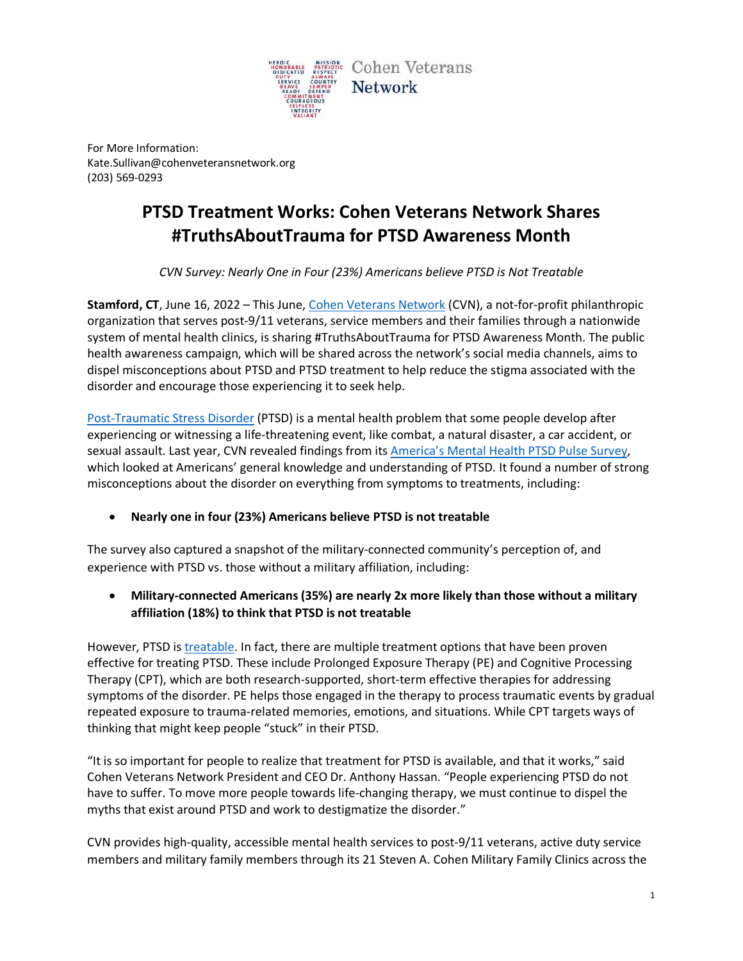

For More Information: Kate.Sullivan@cohenveteransnetwork.org (203) 569-0293

## **PTSD Treatment Works: Cohen Veterans Network Shares #TruthsAboutTrauma for PTSD Awareness Month**

*CVN Survey: Nearly One in Four (23%) Americans believe PTSD is Not Treatable*

**Stamford, CT**, June 16, 2022 – This June, [Cohen Veterans Network](https://www.cohenveteransnetwork.org/) (CVN), a not-for-profit philanthropic organization that serves post-9/11 veterans, service members and their families through a nationwide system of mental health clinics, is sharing #TruthsAboutTrauma for PTSD Awareness Month. The public health awareness campaign, which will be shared across the network's social media channels, aims to dispel misconceptions about PTSD and PTSD treatment to help reduce the stigma associated with the disorder and encourage those experiencing it to seek help.

[Post-Traumatic Stress Disorder](https://www.ptsd.va.gov/understand/what/ptsd_basics.asp) (PTSD) is a mental health problem that some people develop after experiencing or witnessing a life-threatening event, like combat, a natural disaster, a car accident, or sexual assault. Last year, CVN revealed findings from its [America's Mental Health PTSD Pulse Survey,](https://www.cohenveteransnetwork.org/wp-content/uploads/2021/06/Press-Release-Americas-Mental-Health-Pulse-Survey-PTSD-FINAL2.pdf) which looked at Americans' general knowledge and understanding of PTSD. It found a number of strong misconceptions about the disorder on everything from symptoms to treatments, including:

• **Nearly one in four (23%) Americans believe PTSD is not treatable**

The survey also captured a snapshot of the military-connected community's perception of, and experience with PTSD vs. those without a military affiliation, including:

• **Military-connected Americans (35%) are nearly 2x more likely than those without a military affiliation (18%) to think that PTSD is not treatable** 

However, PTSD is [treatable.](https://www.cohenveteransnetwork.org/clinics-resources/ebps/) In fact, there are multiple treatment options that have been proven effective for treating PTSD. These include Prolonged Exposure Therapy (PE) and Cognitive Processing Therapy (CPT), which are both research-supported, short-term effective therapies for addressing symptoms of the disorder. PE helps those engaged in the therapy to process traumatic events by gradual repeated exposure to trauma-related memories, emotions, and situations. While CPT targets ways of thinking that might keep people "stuck" in their PTSD.

"It is so important for people to realize that treatment for PTSD is available, and that it works," said Cohen Veterans Network President and CEO Dr. Anthony Hassan. "People experiencing PTSD do not have to suffer. To move more people towards life-changing therapy, we must continue to dispel the myths that exist around PTSD and work to destigmatize the disorder."

CVN provides high-quality, accessible mental health services to post-9/11 veterans, active duty service members and military family members through its 21 Steven A. Cohen Military Family Clinics across the